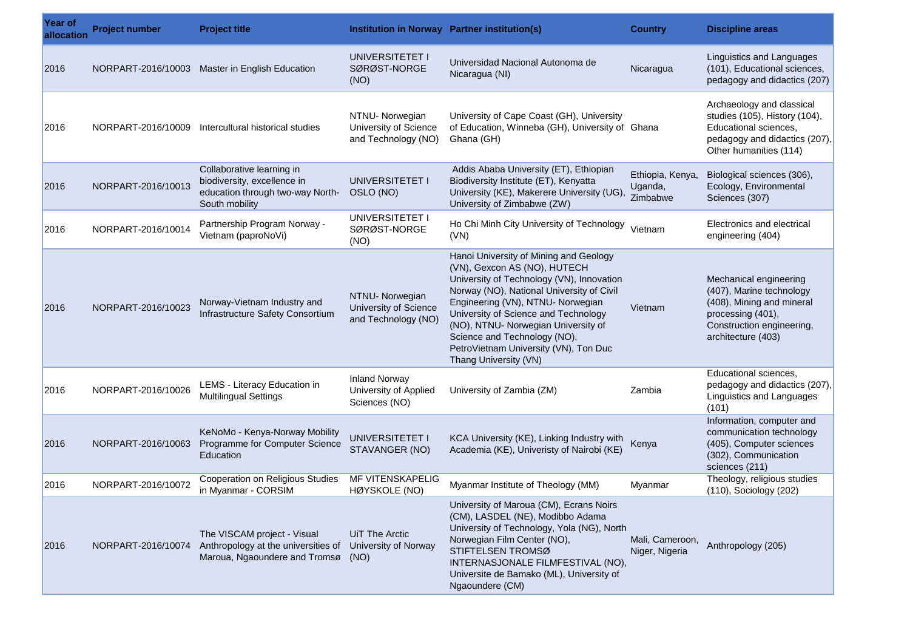| Year of<br>allocation | <b>Project number</b> | <b>Project title</b>                                                                                           |                                                                 | Institution in Norway Partner institution(s)                                                                                                                                                                                                                                                                                                                                           | <b>Country</b>                          | <b>Discipline areas</b>                                                                                                                                 |
|-----------------------|-----------------------|----------------------------------------------------------------------------------------------------------------|-----------------------------------------------------------------|----------------------------------------------------------------------------------------------------------------------------------------------------------------------------------------------------------------------------------------------------------------------------------------------------------------------------------------------------------------------------------------|-----------------------------------------|---------------------------------------------------------------------------------------------------------------------------------------------------------|
| 2016                  |                       | NORPART-2016/10003 Master in English Education                                                                 | UNIVERSITETET I<br>SØRØST-NORGE<br>(NO)                         | Universidad Nacional Autonoma de<br>Nicaragua (NI)                                                                                                                                                                                                                                                                                                                                     | Nicaragua                               | Linguistics and Languages<br>(101), Educational sciences,<br>pedagogy and didactics (207)                                                               |
| 2016                  | NORPART-2016/10009    | Intercultural historical studies                                                                               | NTNU- Norwegian<br>University of Science<br>and Technology (NO) | University of Cape Coast (GH), University<br>of Education, Winneba (GH), University of Ghana<br>Ghana (GH)                                                                                                                                                                                                                                                                             |                                         | Archaeology and classical<br>studies (105), History (104),<br>Educational sciences,<br>pedagogy and didactics (207),<br>Other humanities (114)          |
| 2016                  | NORPART-2016/10013    | Collaborative learning in<br>biodiversity, excellence in<br>education through two-way North-<br>South mobility | UNIVERSITETET I<br>OSLO (NO)                                    | Addis Ababa University (ET), Ethiopian<br>Biodiversity Institute (ET), Kenyatta<br>University (KE), Makerere University (UG),<br>University of Zimbabwe (ZW)                                                                                                                                                                                                                           | Ethiopia, Kenya,<br>Uganda,<br>Zimbabwe | Biological sciences (306),<br>Ecology, Environmental<br>Sciences (307)                                                                                  |
| 2016                  | NORPART-2016/10014    | Partnership Program Norway -<br>Vietnam (paproNoVi)                                                            | UNIVERSITETET I<br>SØRØST-NORGE<br>(NO)                         | Ho Chi Minh City University of Technology<br>(VN)                                                                                                                                                                                                                                                                                                                                      | Vietnam                                 | Electronics and electrical<br>engineering (404)                                                                                                         |
| 2016                  | NORPART-2016/10023    | Norway-Vietnam Industry and<br>Infrastructure Safety Consortium                                                | NTNU- Norwegian<br>University of Science<br>and Technology (NO) | Hanoi University of Mining and Geology<br>(VN), Gexcon AS (NO), HUTECH<br>University of Technology (VN), Innovation<br>Norway (NO), National University of Civil<br>Engineering (VN), NTNU- Norwegian<br>University of Science and Technology<br>(NO), NTNU- Norwegian University of<br>Science and Technology (NO),<br>PetroVietnam University (VN), Ton Duc<br>Thang University (VN) | Vietnam                                 | Mechanical engineering<br>(407), Marine technology<br>(408), Mining and mineral<br>processing (401),<br>Construction engineering,<br>architecture (403) |
| 2016                  | NORPART-2016/10026    | LEMS - Literacy Education in<br><b>Multilingual Settings</b>                                                   | <b>Inland Norway</b><br>University of Applied<br>Sciences (NO)  | University of Zambia (ZM)                                                                                                                                                                                                                                                                                                                                                              | Zambia                                  | Educational sciences,<br>pedagogy and didactics (207),<br>Linguistics and Languages<br>(101)                                                            |
| 2016                  | NORPART-2016/10063    | KeNoMo - Kenya-Norway Mobility<br>Programme for Computer Science<br>Education                                  | UNIVERSITETET I<br>STAVANGER (NO)                               | KCA University (KE), Linking Industry with<br>Academia (KE), Univeristy of Nairobi (KE)                                                                                                                                                                                                                                                                                                | Kenya                                   | Information, computer and<br>communication technology<br>(405), Computer sciences<br>(302), Communication<br>sciences (211)                             |
| 2016                  | NORPART-2016/10072    | Cooperation on Religious Studies<br>in Myanmar - CORSIM                                                        | MF VITENSKAPELIG<br>HØYSKOLE (NO)                               | Myanmar Institute of Theology (MM)                                                                                                                                                                                                                                                                                                                                                     | Myanmar                                 | Theology, religious studies<br>(110), Sociology (202)                                                                                                   |
| 2016                  | NORPART-2016/10074    | The VISCAM project - Visual<br>Anthropology at the universities of<br>Maroua, Ngaoundere and Tromsø            | UiT The Arctic<br>University of Norway<br>(NO)                  | University of Maroua (CM), Ecrans Noirs<br>(CM), LASDEL (NE), Modibbo Adama<br>University of Technology, Yola (NG), North<br>Norwegian Film Center (NO),<br>STIFTELSEN TROMSØ<br>INTERNASJONALE FILMFESTIVAL (NO).<br>Universite de Bamako (ML), University of<br>Ngaoundere (CM)                                                                                                      | Mali, Cameroon,<br>Niger, Nigeria       | Anthropology (205)                                                                                                                                      |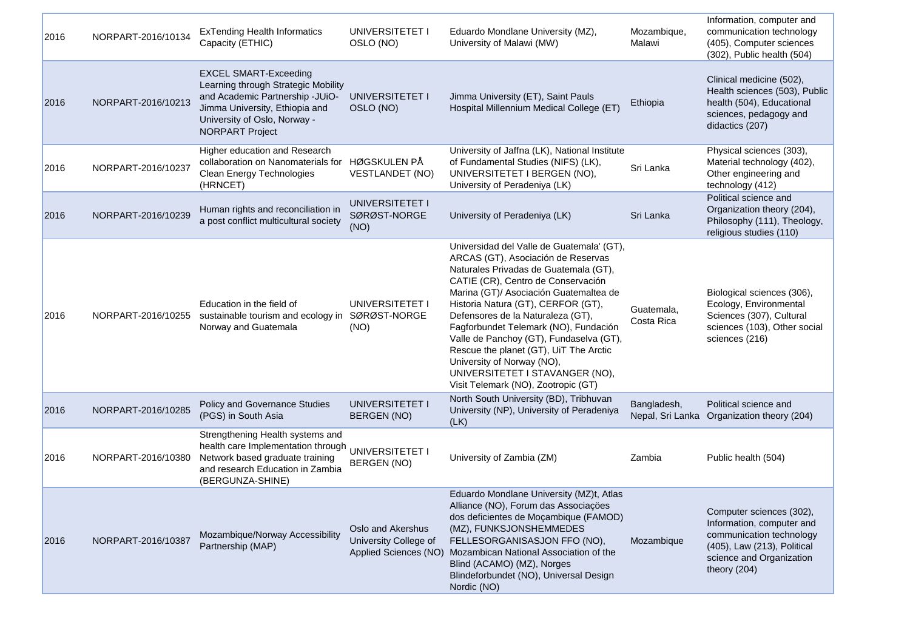| 2016 | NORPART-2016/10134 | <b>ExTending Health Informatics</b><br>Capacity (ETHIC)                                                                                                                                            | UNIVERSITETET I<br>OSLO (NO)                                        | Eduardo Mondlane University (MZ),<br>University of Malawi (MW)                                                                                                                                                                                                                                                                                                                                                                                                                                                            | Mozambique,<br>Malawi           | Information, computer and<br>communication technology<br>(405), Computer sciences<br>(302), Public health (504)                                              |
|------|--------------------|----------------------------------------------------------------------------------------------------------------------------------------------------------------------------------------------------|---------------------------------------------------------------------|---------------------------------------------------------------------------------------------------------------------------------------------------------------------------------------------------------------------------------------------------------------------------------------------------------------------------------------------------------------------------------------------------------------------------------------------------------------------------------------------------------------------------|---------------------------------|--------------------------------------------------------------------------------------------------------------------------------------------------------------|
| 2016 | NORPART-2016/10213 | <b>EXCEL SMART-Exceeding</b><br>Learning through Strategic Mobility<br>and Academic Partnership -JUiO-<br>Jimma University, Ethiopia and<br>University of Oslo, Norway -<br><b>NORPART Project</b> | UNIVERSITETET I<br>OSLO (NO)                                        | Jimma University (ET), Saint Pauls<br>Hospital Millennium Medical College (ET)                                                                                                                                                                                                                                                                                                                                                                                                                                            | Ethiopia                        | Clinical medicine (502),<br>Health sciences (503), Public<br>health (504), Educational<br>sciences, pedagogy and<br>didactics (207)                          |
| 2016 | NORPART-2016/10237 | Higher education and Research<br>collaboration on Nanomaterials for<br>Clean Energy Technologies<br>(HRNCET)                                                                                       | HØGSKULEN PÅ<br><b>VESTLANDET (NO)</b>                              | University of Jaffna (LK), National Institute<br>of Fundamental Studies (NIFS) (LK),<br>UNIVERSITETET I BERGEN (NO),<br>University of Peradeniya (LK)                                                                                                                                                                                                                                                                                                                                                                     | Sri Lanka                       | Physical sciences (303),<br>Material technology (402),<br>Other engineering and<br>technology (412)                                                          |
| 2016 | NORPART-2016/10239 | Human rights and reconciliation in<br>a post conflict multicultural society                                                                                                                        | UNIVERSITETET I<br>SØRØST-NORGE<br>(NO)                             | University of Peradeniya (LK)                                                                                                                                                                                                                                                                                                                                                                                                                                                                                             | Sri Lanka                       | Political science and<br>Organization theory (204),<br>Philosophy (111), Theology,<br>religious studies (110)                                                |
| 2016 | NORPART-2016/10255 | Education in the field of<br>sustainable tourism and ecology in<br>Norway and Guatemala                                                                                                            | UNIVERSITETET I<br>SØRØST-NORGE<br>(NO)                             | Universidad del Valle de Guatemala' (GT),<br>ARCAS (GT), Asociación de Reservas<br>Naturales Privadas de Guatemala (GT),<br>CATIE (CR), Centro de Conservación<br>Marina (GT)/ Asociación Guatemaltea de<br>Historia Natura (GT), CERFOR (GT),<br>Defensores de la Naturaleza (GT),<br>Fagforbundet Telemark (NO), Fundación<br>Valle de Panchoy (GT), Fundaselva (GT),<br>Rescue the planet (GT), UiT The Arctic<br>University of Norway (NO),<br>UNIVERSITETET I STAVANGER (NO),<br>Visit Telemark (NO), Zootropic (GT) | Guatemala,<br>Costa Rica        | Biological sciences (306),<br>Ecology, Environmental<br>Sciences (307), Cultural<br>sciences (103), Other social<br>sciences (216)                           |
| 2016 | NORPART-2016/10285 | Policy and Governance Studies<br>(PGS) in South Asia                                                                                                                                               | UNIVERSITETET I<br><b>BERGEN (NO)</b>                               | North South University (BD), Tribhuvan<br>University (NP), University of Peradeniya<br>(LK)                                                                                                                                                                                                                                                                                                                                                                                                                               | Bangladesh,<br>Nepal, Sri Lanka | Political science and<br>Organization theory (204)                                                                                                           |
| 2016 | NORPART-2016/10380 | Strengthening Health systems and<br>health care Implementation through<br>Network based graduate training<br>and research Education in Zambia<br>(BERGUNZA-SHINE)                                  | UNIVERSITETET I<br><b>BERGEN (NO)</b>                               | University of Zambia (ZM)                                                                                                                                                                                                                                                                                                                                                                                                                                                                                                 | Zambia                          | Public health (504)                                                                                                                                          |
| 2016 | NORPART-2016/10387 | Mozambique/Norway Accessibility<br>Partnership (MAP)                                                                                                                                               | Oslo and Akershus<br>University College of<br>Applied Sciences (NO) | Eduardo Mondlane University (MZ)t, Atlas<br>Alliance (NO), Forum das Associações<br>dos deficientes de Moçambique (FAMOD)<br>(MZ), FUNKSJONSHEMMEDES<br>FELLESORGANISASJON FFO (NO),<br>Mozambican National Association of the<br>Blind (ACAMO) (MZ), Norges<br>Blindeforbundet (NO), Universal Design<br>Nordic (NO)                                                                                                                                                                                                     | Mozambique                      | Computer sciences (302),<br>Information, computer and<br>communication technology<br>(405), Law (213), Political<br>science and Organization<br>theory (204) |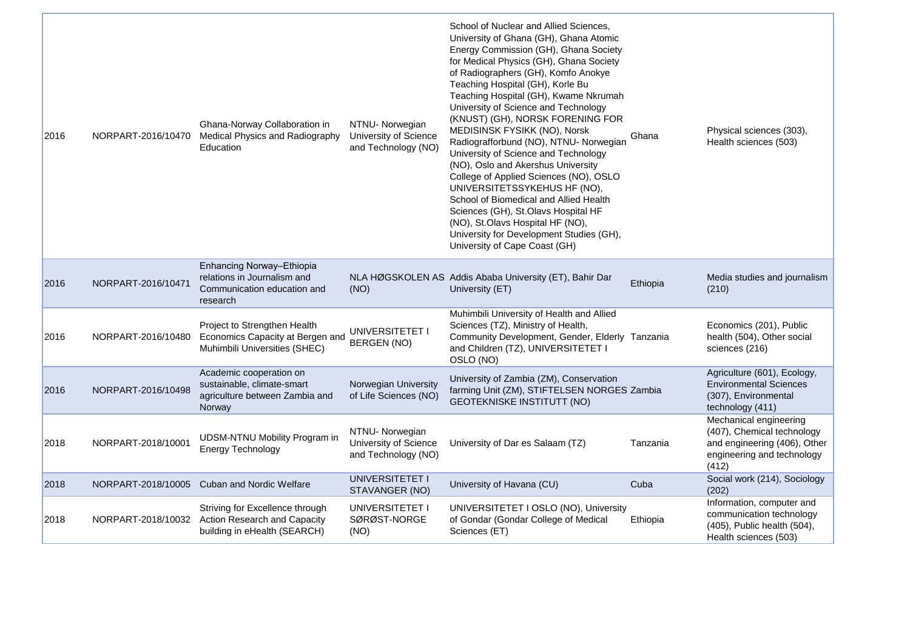| 2016 | NORPART-2016/10470 | Ghana-Norway Collaboration in<br>Medical Physics and Radiography<br>Education                       | NTNU- Norwegian<br>University of Science<br>and Technology (NO) | School of Nuclear and Allied Sciences,<br>University of Ghana (GH), Ghana Atomic<br>Energy Commission (GH), Ghana Society<br>for Medical Physics (GH), Ghana Society<br>of Radiographers (GH), Komfo Anokye<br>Teaching Hospital (GH), Korle Bu<br>Teaching Hospital (GH), Kwame Nkrumah<br>University of Science and Technology<br>(KNUST) (GH), NORSK FORENING FOR<br>MEDISINSK FYSIKK (NO), Norsk<br>Radiografforbund (NO), NTNU- Norwegian<br>University of Science and Technology<br>(NO), Oslo and Akershus University<br>College of Applied Sciences (NO), OSLO<br>UNIVERSITETSSYKEHUS HF (NO),<br>School of Biomedical and Allied Health<br>Sciences (GH), St.Olavs Hospital HF<br>(NO), St.Olavs Hospital HF (NO),<br>University for Development Studies (GH),<br>University of Cape Coast (GH) | Ghana    | Physical sciences (303),<br>Health sciences (503)                                                                           |
|------|--------------------|-----------------------------------------------------------------------------------------------------|-----------------------------------------------------------------|----------------------------------------------------------------------------------------------------------------------------------------------------------------------------------------------------------------------------------------------------------------------------------------------------------------------------------------------------------------------------------------------------------------------------------------------------------------------------------------------------------------------------------------------------------------------------------------------------------------------------------------------------------------------------------------------------------------------------------------------------------------------------------------------------------|----------|-----------------------------------------------------------------------------------------------------------------------------|
| 2016 | NORPART-2016/10471 | Enhancing Norway-Ethiopia<br>relations in Journalism and<br>Communication education and<br>research | (NO)                                                            | NLA HØGSKOLEN AS Addis Ababa University (ET), Bahir Dar<br>University (ET)                                                                                                                                                                                                                                                                                                                                                                                                                                                                                                                                                                                                                                                                                                                               | Ethiopia | Media studies and journalism<br>(210)                                                                                       |
| 2016 | NORPART-2016/10480 | Project to Strengthen Health<br>Economics Capacity at Bergen and<br>Muhimbili Universities (SHEC)   | UNIVERSITETET I<br><b>BERGEN (NO)</b>                           | Muhimbili University of Health and Allied<br>Sciences (TZ), Ministry of Health,<br>Community Development, Gender, Elderly Tanzania<br>and Children (TZ), UNIVERSITETET I<br>OSLO (NO)                                                                                                                                                                                                                                                                                                                                                                                                                                                                                                                                                                                                                    |          | Economics (201), Public<br>health (504), Other social<br>sciences (216)                                                     |
| 2016 | NORPART-2016/10498 | Academic cooperation on<br>sustainable, climate-smart<br>agriculture between Zambia and<br>Norway   | Norwegian University<br>of Life Sciences (NO)                   | University of Zambia (ZM), Conservation<br>farming Unit (ZM), STIFTELSEN NORGES Zambia<br><b>GEOTEKNISKE INSTITUTT (NO)</b>                                                                                                                                                                                                                                                                                                                                                                                                                                                                                                                                                                                                                                                                              |          | Agriculture (601), Ecology,<br><b>Environmental Sciences</b><br>(307), Environmental<br>technology (411)                    |
| 2018 | NORPART-2018/10001 | <b>UDSM-NTNU Mobility Program in</b><br>Energy Technology                                           | NTNU- Norwegian<br>University of Science<br>and Technology (NO) | University of Dar es Salaam (TZ)                                                                                                                                                                                                                                                                                                                                                                                                                                                                                                                                                                                                                                                                                                                                                                         | Tanzania | Mechanical engineering<br>(407), Chemical technology<br>and engineering (406), Other<br>engineering and technology<br>(412) |
| 2018 | NORPART-2018/10005 | <b>Cuban and Nordic Welfare</b>                                                                     | UNIVERSITETET I<br>STAVANGER (NO)                               | University of Havana (CU)                                                                                                                                                                                                                                                                                                                                                                                                                                                                                                                                                                                                                                                                                                                                                                                | Cuba     | Social work (214), Sociology<br>(202)                                                                                       |
| 2018 | NORPART-2018/10032 | Striving for Excellence through<br>Action Research and Capacity<br>building in eHealth (SEARCH)     | UNIVERSITETET I<br>SØRØST-NORGE<br>(NO)                         | UNIVERSITETET I OSLO (NO), University<br>of Gondar (Gondar College of Medical<br>Sciences (ET)                                                                                                                                                                                                                                                                                                                                                                                                                                                                                                                                                                                                                                                                                                           | Ethiopia | Information, computer and<br>communication technology<br>(405), Public health (504),<br>Health sciences (503)               |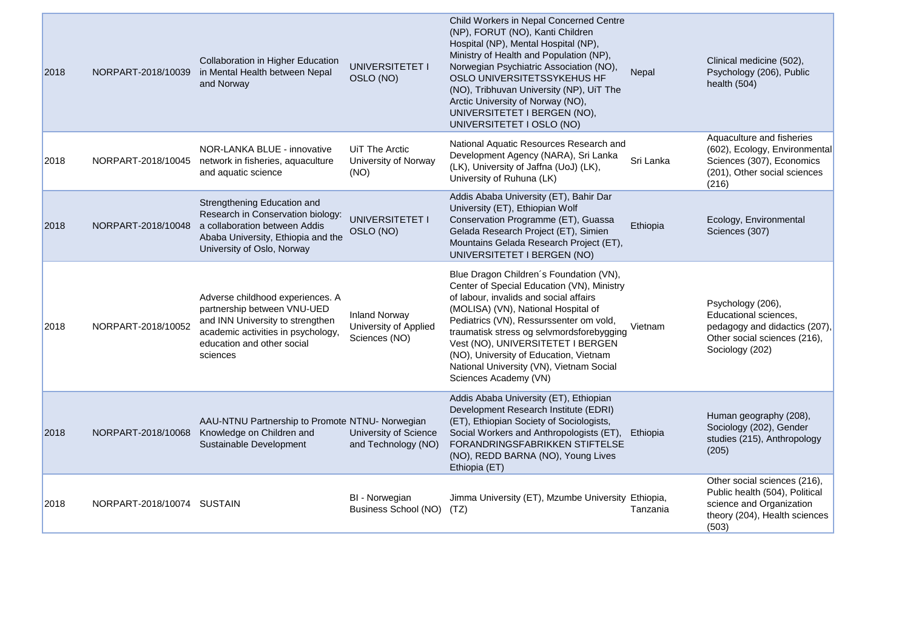| 2018 | NORPART-2018/10039         | Collaboration in Higher Education<br>in Mental Health between Nepal<br>and Norway                                                                                                        | UNIVERSITETET I<br>OSLO (NO)                                   | Child Workers in Nepal Concerned Centre<br>(NP), FORUT (NO), Kanti Children<br>Hospital (NP), Mental Hospital (NP),<br>Ministry of Health and Population (NP),<br>Norwegian Psychiatric Association (NO),<br>OSLO UNIVERSITETSSYKEHUS HF<br>(NO), Tribhuvan University (NP), UiT The<br>Arctic University of Norway (NO),<br>UNIVERSITETET I BERGEN (NO),<br>UNIVERSITETET I OSLO (NO)                             | Nepal     | Clinical medicine (502),<br>Psychology (206), Public<br>health (504)                                                                 |
|------|----------------------------|------------------------------------------------------------------------------------------------------------------------------------------------------------------------------------------|----------------------------------------------------------------|--------------------------------------------------------------------------------------------------------------------------------------------------------------------------------------------------------------------------------------------------------------------------------------------------------------------------------------------------------------------------------------------------------------------|-----------|--------------------------------------------------------------------------------------------------------------------------------------|
| 2018 | NORPART-2018/10045         | NOR-LANKA BLUE - innovative<br>network in fisheries, aquaculture<br>and aquatic science                                                                                                  | UiT The Arctic<br>University of Norway<br>(NO)                 | National Aquatic Resources Research and<br>Development Agency (NARA), Sri Lanka<br>(LK), University of Jaffna (UoJ) (LK),<br>University of Ruhuna (LK)                                                                                                                                                                                                                                                             | Sri Lanka | Aquaculture and fisheries<br>(602), Ecology, Environmental<br>Sciences (307), Economics<br>(201), Other social sciences<br>(216)     |
| 2018 |                            | Strengthening Education and<br>Research in Conservation biology:<br>NORPART-2018/10048 a collaboration between Addis<br>Ababa University, Ethiopia and the<br>University of Oslo, Norway | UNIVERSITETET I<br>OSLO (NO)                                   | Addis Ababa University (ET), Bahir Dar<br>University (ET), Ethiopian Wolf<br>Conservation Programme (ET), Guassa<br>Gelada Research Project (ET), Simien<br>Mountains Gelada Research Project (ET),<br>UNIVERSITETET I BERGEN (NO)                                                                                                                                                                                 | Ethiopia  | Ecology, Environmental<br>Sciences (307)                                                                                             |
| 2018 | NORPART-2018/10052         | Adverse childhood experiences. A<br>partnership between VNU-UED<br>and INN University to strengthen<br>academic activities in psychology,<br>education and other social<br>sciences      | <b>Inland Norway</b><br>University of Applied<br>Sciences (NO) | Blue Dragon Children's Foundation (VN),<br>Center of Special Education (VN), Ministry<br>of labour, invalids and social affairs<br>(MOLISA) (VN), National Hospital of<br>Pediatrics (VN), Ressurssenter om vold,<br>traumatisk stress og selvmordsforebygging<br>Vest (NO), UNIVERSITETET I BERGEN<br>(NO), University of Education, Vietnam<br>National University (VN), Vietnam Social<br>Sciences Academy (VN) | Vietnam   | Psychology (206),<br>Educational sciences,<br>pedagogy and didactics (207),<br>Other social sciences (216),<br>Sociology (202)       |
| 2018 | NORPART-2018/10068         | AAU-NTNU Partnership to Promote NTNU- Norwegian<br>Knowledge on Children and<br>Sustainable Development                                                                                  | University of Science<br>and Technology (NO)                   | Addis Ababa University (ET), Ethiopian<br>Development Research Institute (EDRI)<br>(ET), Ethiopian Society of Sociologists,<br>Social Workers and Anthropologists (ET),<br>FORANDRINGSFABRIKKEN STIFTELSE<br>(NO), REDD BARNA (NO), Young Lives<br>Ethiopia (ET)                                                                                                                                                   | Ethiopia  | Human geography (208),<br>Sociology (202), Gender<br>studies (215), Anthropology<br>(205)                                            |
| 2018 | NORPART-2018/10074 SUSTAIN |                                                                                                                                                                                          | BI - Norwegian<br>Business School (NO)                         | Jimma University (ET), Mzumbe University Ethiopia,<br>(TZ)                                                                                                                                                                                                                                                                                                                                                         | Tanzania  | Other social sciences (216),<br>Public health (504), Political<br>science and Organization<br>theory (204), Health sciences<br>(503) |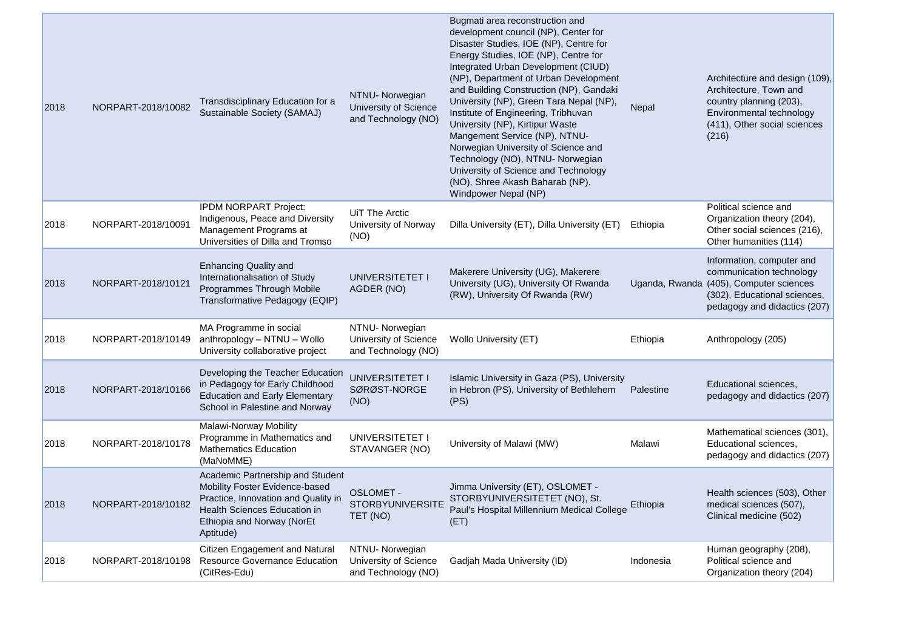| 2018 | NORPART-2018/10082 | Transdisciplinary Education for a<br>Sustainable Society (SAMAJ)                                                                                                                     | NTNU- Norwegian<br>University of Science<br>and Technology (NO) | Bugmati area reconstruction and<br>development council (NP), Center for<br>Disaster Studies, IOE (NP), Centre for<br>Energy Studies, IOE (NP), Centre for<br>Integrated Urban Development (CIUD)<br>(NP), Department of Urban Development<br>and Building Construction (NP), Gandaki<br>University (NP), Green Tara Nepal (NP),<br>Institute of Engineering, Tribhuvan<br>University (NP), Kirtipur Waste<br>Mangement Service (NP), NTNU-<br>Norwegian University of Science and<br>Technology (NO), NTNU- Norwegian<br>University of Science and Technology<br>(NO), Shree Akash Baharab (NP),<br>Windpower Nepal (NP) | Nepal     | Architecture and design (109),<br>Architecture, Town and<br>country planning (203),<br>Environmental technology<br>(411), Other social sciences<br>(216)         |
|------|--------------------|--------------------------------------------------------------------------------------------------------------------------------------------------------------------------------------|-----------------------------------------------------------------|--------------------------------------------------------------------------------------------------------------------------------------------------------------------------------------------------------------------------------------------------------------------------------------------------------------------------------------------------------------------------------------------------------------------------------------------------------------------------------------------------------------------------------------------------------------------------------------------------------------------------|-----------|------------------------------------------------------------------------------------------------------------------------------------------------------------------|
| 2018 | NORPART-2018/10091 | IPDM NORPART Project:<br>Indigenous, Peace and Diversity<br>Management Programs at<br>Universities of Dilla and Tromso                                                               | UiT The Arctic<br>University of Norway<br>(NO)                  | Dilla University (ET), Dilla University (ET)                                                                                                                                                                                                                                                                                                                                                                                                                                                                                                                                                                             | Ethiopia  | Political science and<br>Organization theory (204),<br>Other social sciences (216),<br>Other humanities (114)                                                    |
| 2018 | NORPART-2018/10121 | <b>Enhancing Quality and</b><br>Internationalisation of Study<br>Programmes Through Mobile<br>Transformative Pedagogy (EQIP)                                                         | UNIVERSITETET I<br>AGDER (NO)                                   | Makerere University (UG), Makerere<br>University (UG), University Of Rwanda<br>(RW), University Of Rwanda (RW)                                                                                                                                                                                                                                                                                                                                                                                                                                                                                                           |           | Information, computer and<br>communication technology<br>Uganda, Rwanda (405), Computer sciences<br>(302), Educational sciences,<br>pedagogy and didactics (207) |
| 2018 | NORPART-2018/10149 | MA Programme in social<br>anthropology - NTNU - Wollo<br>University collaborative project                                                                                            | NTNU- Norwegian<br>University of Science<br>and Technology (NO) | Wollo University (ET)                                                                                                                                                                                                                                                                                                                                                                                                                                                                                                                                                                                                    | Ethiopia  | Anthropology (205)                                                                                                                                               |
| 2018 | NORPART-2018/10166 | Developing the Teacher Education<br>in Pedagogy for Early Childhood<br><b>Education and Early Elementary</b><br>School in Palestine and Norway                                       | UNIVERSITETET I<br>SØRØST-NORGE<br>(NO)                         | Islamic University in Gaza (PS), University<br>in Hebron (PS), University of Bethlehem<br>(PS)                                                                                                                                                                                                                                                                                                                                                                                                                                                                                                                           | Palestine | Educational sciences,<br>pedagogy and didactics (207)                                                                                                            |
| 2018 | NORPART-2018/10178 | Malawi-Norway Mobility<br>Programme in Mathematics and<br><b>Mathematics Education</b><br>(MaNoMME)                                                                                  | UNIVERSITETET I<br>STAVANGER (NO)                               | University of Malawi (MW)                                                                                                                                                                                                                                                                                                                                                                                                                                                                                                                                                                                                | Malawi    | Mathematical sciences (301),<br>Educational sciences,<br>pedagogy and didactics (207)                                                                            |
| 2018 | NORPART-2018/10182 | Academic Partnership and Student<br>Mobility Foster Evidence-based<br>Practice, Innovation and Quality in<br>Health Sciences Education in<br>Ethiopia and Norway (NorEt<br>Aptitude) | <b>OSLOMET -</b><br><b>STORBYUNIVERSITE</b><br>TET (NO)         | Jimma University (ET), OSLOMET -<br>STORBYUNIVERSITETET (NO), St.<br>Paul's Hospital Millennium Medical College<br>(ET)                                                                                                                                                                                                                                                                                                                                                                                                                                                                                                  | Ethiopia  | Health sciences (503), Other<br>medical sciences (507),<br>Clinical medicine (502)                                                                               |
| 2018 | NORPART-2018/10198 | Citizen Engagement and Natural<br>Resource Governance Education<br>(CitRes-Edu)                                                                                                      | NTNU- Norwegian<br>University of Science<br>and Technology (NO) | Gadjah Mada University (ID)                                                                                                                                                                                                                                                                                                                                                                                                                                                                                                                                                                                              | Indonesia | Human geography (208),<br>Political science and<br>Organization theory (204)                                                                                     |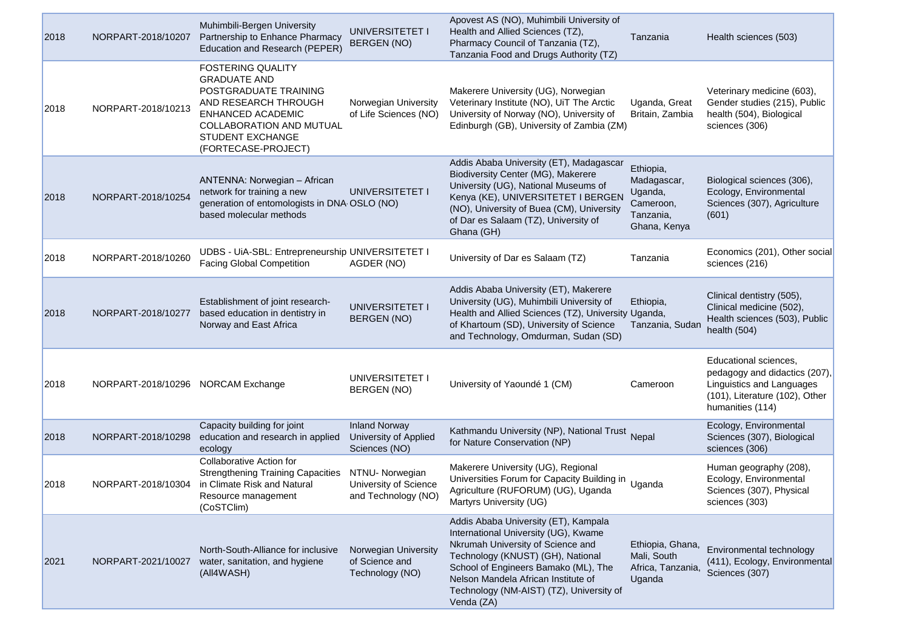| 2018 | NORPART-2018/10207                 | Muhimbili-Bergen University<br>Partnership to Enhance Pharmacy<br>Education and Research (PEPER)                                                                                                    | UNIVERSITETET I<br><b>BERGEN (NO)</b>                           | Apovest AS (NO), Muhimbili University of<br>Health and Allied Sciences (TZ),<br>Pharmacy Council of Tanzania (TZ),<br>Tanzania Food and Drugs Authority (TZ)                                                                                                                                    | Tanzania                                                                      | Health sciences (503)                                                                                                                     |
|------|------------------------------------|-----------------------------------------------------------------------------------------------------------------------------------------------------------------------------------------------------|-----------------------------------------------------------------|-------------------------------------------------------------------------------------------------------------------------------------------------------------------------------------------------------------------------------------------------------------------------------------------------|-------------------------------------------------------------------------------|-------------------------------------------------------------------------------------------------------------------------------------------|
| 2018 | NORPART-2018/10213                 | <b>FOSTERING QUALITY</b><br><b>GRADUATE AND</b><br>POSTGRADUATE TRAINING<br>AND RESEARCH THROUGH<br>ENHANCED ACADEMIC<br>COLLABORATION AND MUTUAL<br><b>STUDENT EXCHANGE</b><br>(FORTECASE-PROJECT) | Norwegian University<br>of Life Sciences (NO)                   | Makerere University (UG), Norwegian<br>Veterinary Institute (NO), UiT The Arctic<br>University of Norway (NO), University of<br>Edinburgh (GB), University of Zambia (ZM)                                                                                                                       | Uganda, Great<br>Britain, Zambia                                              | Veterinary medicine (603),<br>Gender studies (215), Public<br>health (504), Biological<br>sciences (306)                                  |
| 2018 | NORPART-2018/10254                 | ANTENNA: Norwegian - African<br>network for training a new<br>generation of entomologists in DNA OSLO (NO)<br>based molecular methods                                                               | UNIVERSITETET I                                                 | Addis Ababa University (ET), Madagascar<br>Biodiversity Center (MG), Makerere<br>University (UG), National Museums of<br>Kenya (KE), UNIVERSITETET I BERGEN<br>(NO), University of Buea (CM), University<br>of Dar es Salaam (TZ), University of<br>Ghana (GH)                                  | Ethiopia,<br>Madagascar,<br>Uganda,<br>Cameroon,<br>Tanzania,<br>Ghana, Kenya | Biological sciences (306),<br>Ecology, Environmental<br>Sciences (307), Agriculture<br>(601)                                              |
| 2018 | NORPART-2018/10260                 | UDBS - UiA-SBL: Entrepreneurship UNIVERSITETET I<br><b>Facing Global Competition</b>                                                                                                                | AGDER (NO)                                                      | University of Dar es Salaam (TZ)                                                                                                                                                                                                                                                                | Tanzania                                                                      | Economics (201), Other social<br>sciences (216)                                                                                           |
| 2018 | NORPART-2018/10277                 | Establishment of joint research-<br>based education in dentistry in<br>Norway and East Africa                                                                                                       | UNIVERSITETET I<br><b>BERGEN (NO)</b>                           | Addis Ababa University (ET), Makerere<br>University (UG), Muhimbili University of<br>Health and Allied Sciences (TZ), University Uganda,<br>of Khartoum (SD), University of Science<br>and Technology, Omdurman, Sudan (SD)                                                                     | Ethiopia,<br>Tanzania, Sudan                                                  | Clinical dentistry (505),<br>Clinical medicine (502),<br>Health sciences (503), Public<br>health $(504)$                                  |
| 2018 | NORPART-2018/10296 NORCAM Exchange |                                                                                                                                                                                                     | UNIVERSITETET I<br>BERGEN (NO)                                  | University of Yaoundé 1 (CM)                                                                                                                                                                                                                                                                    | Cameroon                                                                      | Educational sciences,<br>pedagogy and didactics (207),<br>Linguistics and Languages<br>(101), Literature (102), Other<br>humanities (114) |
| 2018 | NORPART-2018/10298                 | Capacity building for joint<br>education and research in applied<br>ecology                                                                                                                         | <b>Inland Norway</b><br>University of Applied<br>Sciences (NO)  | Kathmandu University (NP), National Trust Nepal<br>for Nature Conservation (NP)                                                                                                                                                                                                                 |                                                                               | Ecology, Environmental<br>Sciences (307), Biological<br>sciences (306)                                                                    |
| 2018 | NORPART-2018/10304                 | Collaborative Action for<br><b>Strengthening Training Capacities</b><br>in Climate Risk and Natural<br>Resource management<br>(CoSTClim)                                                            | NTNU- Norwegian<br>University of Science<br>and Technology (NO) | Makerere University (UG), Regional<br>Universities Forum for Capacity Building in Uganda<br>Agriculture (RUFORUM) (UG), Uganda<br>Martyrs University (UG)                                                                                                                                       |                                                                               | Human geography (208),<br>Ecology, Environmental<br>Sciences (307), Physical<br>sciences (303)                                            |
| 2021 | NORPART-2021/10027                 | North-South-Alliance for inclusive<br>water, sanitation, and hygiene<br>(All4WASH)                                                                                                                  | Norwegian University<br>of Science and<br>Technology (NO)       | Addis Ababa University (ET), Kampala<br>International University (UG), Kwame<br>Nkrumah University of Science and<br>Technology (KNUST) (GH), National<br>School of Engineers Bamako (ML), The<br>Nelson Mandela African Institute of<br>Technology (NM-AIST) (TZ), University of<br>Venda (ZA) | Ethiopia, Ghana,<br>Mali, South<br>Africa, Tanzania,<br>Uganda                | Environmental technology<br>(411), Ecology, Environmental<br>Sciences (307)                                                               |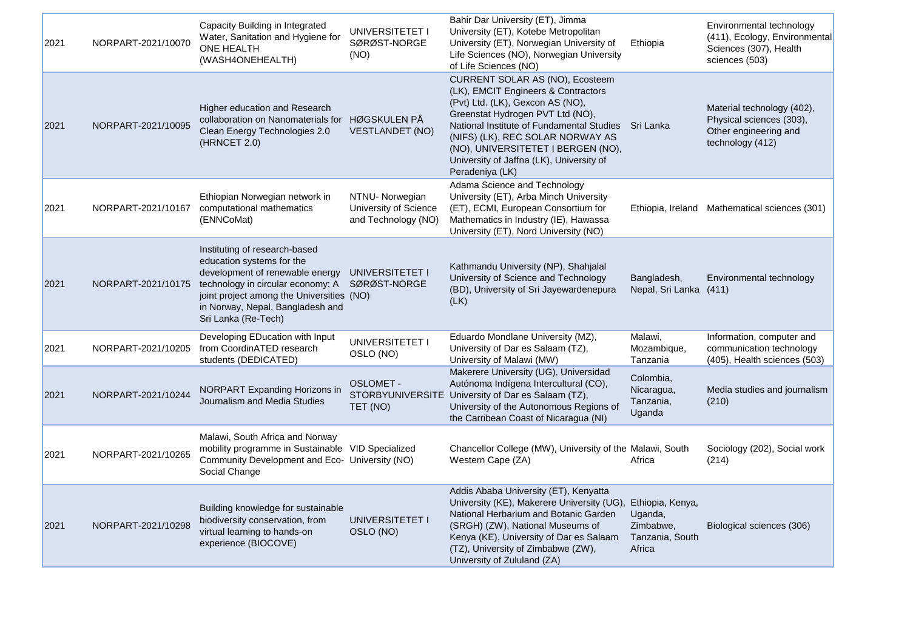| 2021 | NORPART-2021/10070 | Capacity Building in Integrated<br>Water, Sanitation and Hygiene for<br>ONE HEALTH<br>(WASH4ONEHEALTH)                                                                                                                                                  | UNIVERSITETET I<br>SØRØST-NORGE<br>(NO)                         | Bahir Dar University (ET), Jimma<br>University (ET), Kotebe Metropolitan<br>University (ET), Norwegian University of<br>Life Sciences (NO), Norwegian University<br>of Life Sciences (NO)                                                                                                                                                      | Ethiopia                                                              | Environmental technology<br>(411), Ecology, Environmental<br>Sciences (307), Health<br>sciences (503) |
|------|--------------------|---------------------------------------------------------------------------------------------------------------------------------------------------------------------------------------------------------------------------------------------------------|-----------------------------------------------------------------|------------------------------------------------------------------------------------------------------------------------------------------------------------------------------------------------------------------------------------------------------------------------------------------------------------------------------------------------|-----------------------------------------------------------------------|-------------------------------------------------------------------------------------------------------|
| 2021 | NORPART-2021/10095 | Higher education and Research<br>collaboration on Nanomaterials for HØGSKULEN PÅ<br>Clean Energy Technologies 2.0<br>(HRNCET 2.0)                                                                                                                       | <b>VESTLANDET (NO)</b>                                          | CURRENT SOLAR AS (NO), Ecosteem<br>(LK), EMCIT Engineers & Contractors<br>(Pvt) Ltd. (LK), Gexcon AS (NO),<br>Greenstat Hydrogen PVT Ltd (NO),<br>National Institute of Fundamental Studies Sri Lanka<br>(NIFS) (LK), REC SOLAR NORWAY AS<br>(NO), UNIVERSITETET I BERGEN (NO),<br>University of Jaffna (LK), University of<br>Peradeniya (LK) |                                                                       | Material technology (402),<br>Physical sciences (303),<br>Other engineering and<br>technology (412)   |
| 2021 | NORPART-2021/10167 | Ethiopian Norwegian network in<br>computational mathematics<br>(ENNCoMat)                                                                                                                                                                               | NTNU- Norwegian<br>University of Science<br>and Technology (NO) | Adama Science and Technology<br>University (ET), Arba Minch University<br>(ET), ECMI, European Consortium for<br>Mathematics in Industry (IE), Hawassa<br>University (ET), Nord University (NO)                                                                                                                                                |                                                                       | Ethiopia, Ireland Mathematical sciences (301)                                                         |
| 2021 | NORPART-2021/10175 | Instituting of research-based<br>education systems for the<br>development of renewable energy<br>technology in circular economy; A SØRØST-NORGE<br>joint project among the Universities (NO)<br>in Norway, Nepal, Bangladesh and<br>Sri Lanka (Re-Tech) | UNIVERSITETET I                                                 | Kathmandu University (NP), Shahjalal<br>University of Science and Technology<br>(BD), University of Sri Jayewardenepura<br>(LK)                                                                                                                                                                                                                | Bangladesh,<br>Nepal, Sri Lanka (411)                                 | Environmental technology                                                                              |
| 2021 | NORPART-2021/10205 | Developing EDucation with Input<br>from CoordinATED research<br>students (DEDICATED)                                                                                                                                                                    | UNIVERSITETET I<br>OSLO (NO)                                    | Eduardo Mondlane University (MZ),<br>University of Dar es Salaam (TZ),<br>University of Malawi (MW)                                                                                                                                                                                                                                            | Malawi,<br>Mozambique,<br>Tanzania                                    | Information, computer and<br>communication technology<br>(405), Health sciences (503)                 |
| 2021 | NORPART-2021/10244 | NORPART Expanding Horizons in<br>Journalism and Media Studies                                                                                                                                                                                           | OSLOMET -<br>TET (NO)                                           | Makerere University (UG), Universidad<br>Autónoma Indígena Intercultural (CO),<br>STORBYUNIVERSITE University of Dar es Salaam (TZ),<br>University of the Autonomous Regions of<br>the Carribean Coast of Nicaragua (NI)                                                                                                                       | Colombia,<br>Nicaragua,<br>Tanzania,<br>Uganda                        | Media studies and journalism<br>(210)                                                                 |
| 2021 | NORPART-2021/10265 | Malawi, South Africa and Norway<br>mobility programme in Sustainable VID Specialized<br>Community Development and Eco- University (NO)<br>Social Change                                                                                                 |                                                                 | Chancellor College (MW), University of the Malawi, South<br>Western Cape (ZA)                                                                                                                                                                                                                                                                  | Africa                                                                | Sociology (202), Social work<br>(214)                                                                 |
| 2021 | NORPART-2021/10298 | Building knowledge for sustainable<br>biodiversity conservation, from<br>virtual learning to hands-on<br>experience (BIOCOVE)                                                                                                                           | UNIVERSITETET I<br>OSLO (NO)                                    | Addis Ababa University (ET), Kenyatta<br>University (KE), Makerere University (UG),<br>National Herbarium and Botanic Garden<br>(SRGH) (ZW), National Museums of<br>Kenya (KE), University of Dar es Salaam<br>(TZ), University of Zimbabwe (ZW),<br>University of Zululand (ZA)                                                               | Ethiopia, Kenya,<br>Uganda,<br>Zimbabwe,<br>Tanzania, South<br>Africa | Biological sciences (306)                                                                             |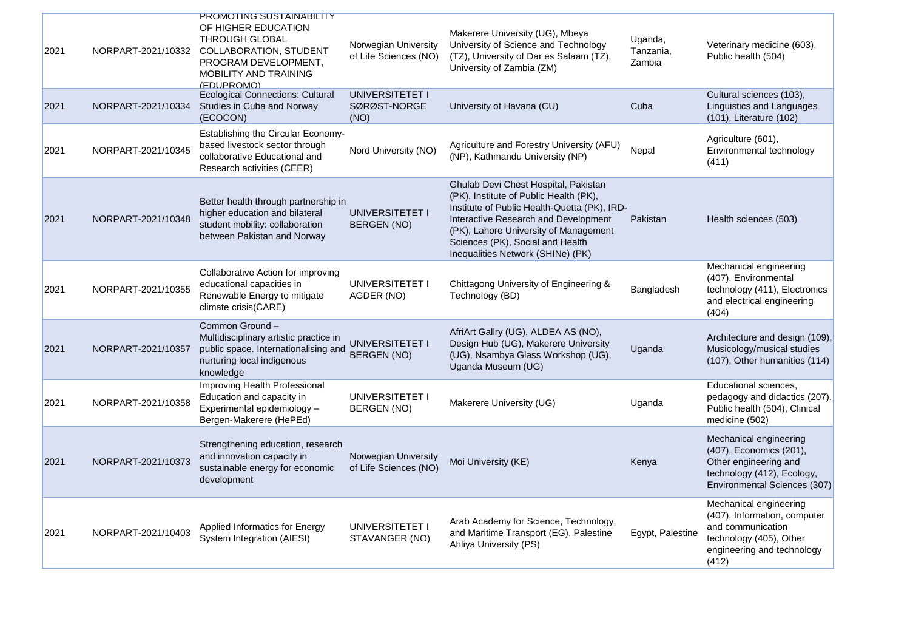| 2021 | NORPART-2021/10332 | <u>PROMOTING SUSTAINABILITY</u><br>OF HIGHER EDUCATION<br>THROUGH GLOBAL<br><b>COLLABORATION, STUDENT</b><br>PROGRAM DEVELOPMENT,<br><b>MOBILITY AND TRAINING</b><br>(FDUPROMO) | Norwegian University<br>of Life Sciences (NO) | Makerere University (UG), Mbeya<br>University of Science and Technology<br>(TZ), University of Dar es Salaam (TZ),<br>University of Zambia (ZM)                                                                                                                                          | Uganda,<br>Tanzania,<br>Zambia | Veterinary medicine (603),<br>Public health (504)                                                                                             |
|------|--------------------|---------------------------------------------------------------------------------------------------------------------------------------------------------------------------------|-----------------------------------------------|------------------------------------------------------------------------------------------------------------------------------------------------------------------------------------------------------------------------------------------------------------------------------------------|--------------------------------|-----------------------------------------------------------------------------------------------------------------------------------------------|
| 2021 | NORPART-2021/10334 | <b>Ecological Connections: Cultural</b><br>Studies in Cuba and Norway<br>(ECOCON)                                                                                               | UNIVERSITETET I<br>SØRØST-NORGE<br>(NO)       | University of Havana (CU)                                                                                                                                                                                                                                                                | Cuba                           | Cultural sciences (103),<br>Linguistics and Languages<br>(101), Literature (102)                                                              |
| 2021 | NORPART-2021/10345 | Establishing the Circular Economy-<br>based livestock sector through<br>collaborative Educational and<br>Research activities (CEER)                                             | Nord University (NO)                          | Agriculture and Forestry University (AFU)<br>(NP), Kathmandu University (NP)                                                                                                                                                                                                             | Nepal                          | Agriculture (601),<br>Environmental technology<br>(411)                                                                                       |
| 2021 | NORPART-2021/10348 | Better health through partnership in<br>higher education and bilateral<br>student mobility: collaboration<br>between Pakistan and Norway                                        | UNIVERSITETET I<br>BERGEN (NO)                | Ghulab Devi Chest Hospital, Pakistan<br>(PK), Institute of Public Health (PK),<br>Institute of Public Health-Quetta (PK), IRD-<br>Interactive Research and Development<br>(PK), Lahore University of Management<br>Sciences (PK), Social and Health<br>Inequalities Network (SHINe) (PK) | Pakistan                       | Health sciences (503)                                                                                                                         |
| 2021 | NORPART-2021/10355 | Collaborative Action for improving<br>educational capacities in<br>Renewable Energy to mitigate<br>climate crisis(CARE)                                                         | UNIVERSITETET I<br>AGDER (NO)                 | Chittagong University of Engineering &<br>Technology (BD)                                                                                                                                                                                                                                | Bangladesh                     | Mechanical engineering<br>(407), Environmental<br>technology (411), Electronics<br>and electrical engineering<br>(404)                        |
| 2021 | NORPART-2021/10357 | Common Ground-<br>Multidisciplinary artistic practice in<br>public space. Internationalising and<br>nurturing local indigenous<br>knowledge                                     | UNIVERSITETET I<br>BERGEN (NO)                | AfriArt Gallry (UG), ALDEA AS (NO),<br>Design Hub (UG), Makerere University<br>(UG), Nsambya Glass Workshop (UG),<br>Uganda Museum (UG)                                                                                                                                                  | Uganda                         | Architecture and design (109),<br>Musicology/musical studies<br>(107), Other humanities (114)                                                 |
| 2021 | NORPART-2021/10358 | Improving Health Professional<br>Education and capacity in<br>Experimental epidemiology -<br>Bergen-Makerere (HePEd)                                                            | UNIVERSITETET I<br><b>BERGEN (NO)</b>         | Makerere University (UG)                                                                                                                                                                                                                                                                 | Uganda                         | Educational sciences,<br>pedagogy and didactics (207),<br>Public health (504), Clinical<br>medicine (502)                                     |
| 2021 | NORPART-2021/10373 | Strengthening education, research<br>and innovation capacity in<br>sustainable energy for economic<br>development                                                               | Norwegian University<br>of Life Sciences (NO) | Moi University (KE)                                                                                                                                                                                                                                                                      | Kenya                          | Mechanical engineering<br>(407), Economics (201),<br>Other engineering and<br>technology (412), Ecology,<br>Environmental Sciences (307)      |
| 2021 | NORPART-2021/10403 | Applied Informatics for Energy<br>System Integration (AIESI)                                                                                                                    | UNIVERSITETET I<br>STAVANGER (NO)             | Arab Academy for Science, Technology,<br>and Maritime Transport (EG), Palestine<br>Ahliya University (PS)                                                                                                                                                                                | Egypt, Palestine               | Mechanical engineering<br>(407), Information, computer<br>and communication<br>technology (405), Other<br>engineering and technology<br>(412) |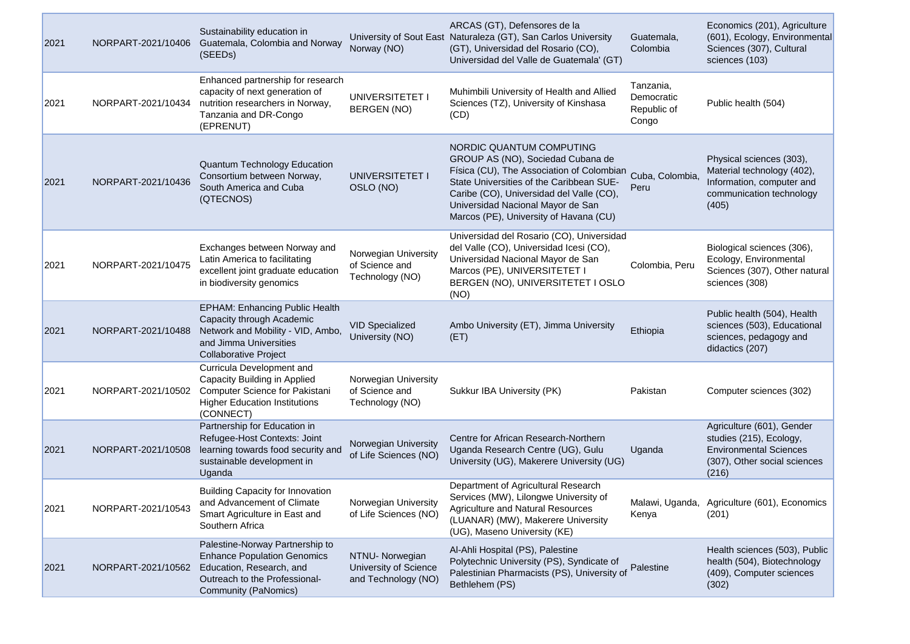| 2021 | NORPART-2021/10406 | Sustainability education in<br>Guatemala, Colombia and Norway<br>(SEEDs)                                                                                          | Norway (NO)                                                     | ARCAS (GT), Defensores de la<br>University of Sout East Naturaleza (GT), San Carlos University<br>(GT), Universidad del Rosario (CO),<br>Universidad del Valle de Guatemala' (GT)                                                                                                 | Guatemala,<br>Colombia                          | Economics (201), Agriculture<br>(601), Ecology, Environmental<br>Sciences (307), Cultural<br>sciences (103)                    |
|------|--------------------|-------------------------------------------------------------------------------------------------------------------------------------------------------------------|-----------------------------------------------------------------|-----------------------------------------------------------------------------------------------------------------------------------------------------------------------------------------------------------------------------------------------------------------------------------|-------------------------------------------------|--------------------------------------------------------------------------------------------------------------------------------|
| 2021 | NORPART-2021/10434 | Enhanced partnership for research<br>capacity of next generation of<br>nutrition researchers in Norway,<br>Tanzania and DR-Congo<br>(EPRENUT)                     | UNIVERSITETET I<br>BERGEN (NO)                                  | Muhimbili University of Health and Allied<br>Sciences (TZ), University of Kinshasa<br>(CD)                                                                                                                                                                                        | Tanzania,<br>Democratic<br>Republic of<br>Congo | Public health (504)                                                                                                            |
| 2021 | NORPART-2021/10436 | <b>Quantum Technology Education</b><br>Consortium between Norway,<br>South America and Cuba<br>(QTECNOS)                                                          | UNIVERSITETET I<br>OSLO (NO)                                    | NORDIC QUANTUM COMPUTING<br>GROUP AS (NO), Sociedad Cubana de<br>Física (CU), The Association of Colombian<br>State Universities of the Caribbean SUE-<br>Caribe (CO), Universidad del Valle (CO),<br>Universidad Nacional Mayor de San<br>Marcos (PE), University of Havana (CU) | Cuba, Colombia,<br>Peru                         | Physical sciences (303),<br>Material technology (402),<br>Information, computer and<br>communication technology<br>(405)       |
| 2021 | NORPART-2021/10475 | Exchanges between Norway and<br>Latin America to facilitating<br>excellent joint graduate education<br>in biodiversity genomics                                   | Norwegian University<br>of Science and<br>Technology (NO)       | Universidad del Rosario (CO), Universidad<br>del Valle (CO), Universidad Icesi (CO),<br>Universidad Nacional Mayor de San<br>Marcos (PE), UNIVERSITETET I<br>BERGEN (NO), UNIVERSITETET I OSLO<br>(NO)                                                                            | Colombia, Peru                                  | Biological sciences (306),<br>Ecology, Environmental<br>Sciences (307), Other natural<br>sciences (308)                        |
| 2021 | NORPART-2021/10488 | <b>EPHAM: Enhancing Public Health</b><br>Capacity through Academic<br>Network and Mobility - VID, Ambo,<br>and Jimma Universities<br><b>Collaborative Project</b> | <b>VID Specialized</b><br>University (NO)                       | Ambo University (ET), Jimma University<br>(ET)                                                                                                                                                                                                                                    | Ethiopia                                        | Public health (504), Health<br>sciences (503), Educational<br>sciences, pedagogy and<br>didactics (207)                        |
| 2021 | NORPART-2021/10502 | Curricula Development and<br>Capacity Building in Applied<br>Computer Science for Pakistani<br><b>Higher Education Institutions</b><br>(CONNECT)                  | Norwegian University<br>of Science and<br>Technology (NO)       | Sukkur IBA University (PK)                                                                                                                                                                                                                                                        | Pakistan                                        | Computer sciences (302)                                                                                                        |
| 2021 | NORPART-2021/10508 | Partnership for Education in<br>Refugee-Host Contexts: Joint<br>learning towards food security and<br>sustainable development in<br>Uganda                        | Norwegian University<br>of Life Sciences (NO)                   | Centre for African Research-Northern<br>Uganda Research Centre (UG), Gulu<br>University (UG), Makerere University (UG)                                                                                                                                                            | Uganda                                          | Agriculture (601), Gender<br>studies (215), Ecology,<br><b>Environmental Sciences</b><br>(307), Other social sciences<br>(216) |
| 2021 | NORPART-2021/10543 | <b>Building Capacity for Innovation</b><br>and Advancement of Climate<br>Smart Agriculture in East and<br>Southern Africa                                         | Norwegian University<br>of Life Sciences (NO)                   | Department of Agricultural Research<br>Services (MW), Lilongwe University of<br>Agriculture and Natural Resources<br>(LUANAR) (MW), Makerere University<br>(UG), Maseno University (KE)                                                                                           | Kenya                                           | Malawi, Uganda, Agriculture (601), Economics<br>(201)                                                                          |
| 2021 | NORPART-2021/10562 | Palestine-Norway Partnership to<br><b>Enhance Population Genomics</b><br>Education, Research, and<br>Outreach to the Professional-<br>Community (PaNomics)        | NTNU- Norwegian<br>University of Science<br>and Technology (NO) | Al-Ahli Hospital (PS), Palestine<br>Polytechnic University (PS), Syndicate of<br>Palestinian Pharmacists (PS), University of<br>Bethlehem (PS)                                                                                                                                    | Palestine                                       | Health sciences (503), Public<br>health (504), Biotechnology<br>(409), Computer sciences<br>(302)                              |